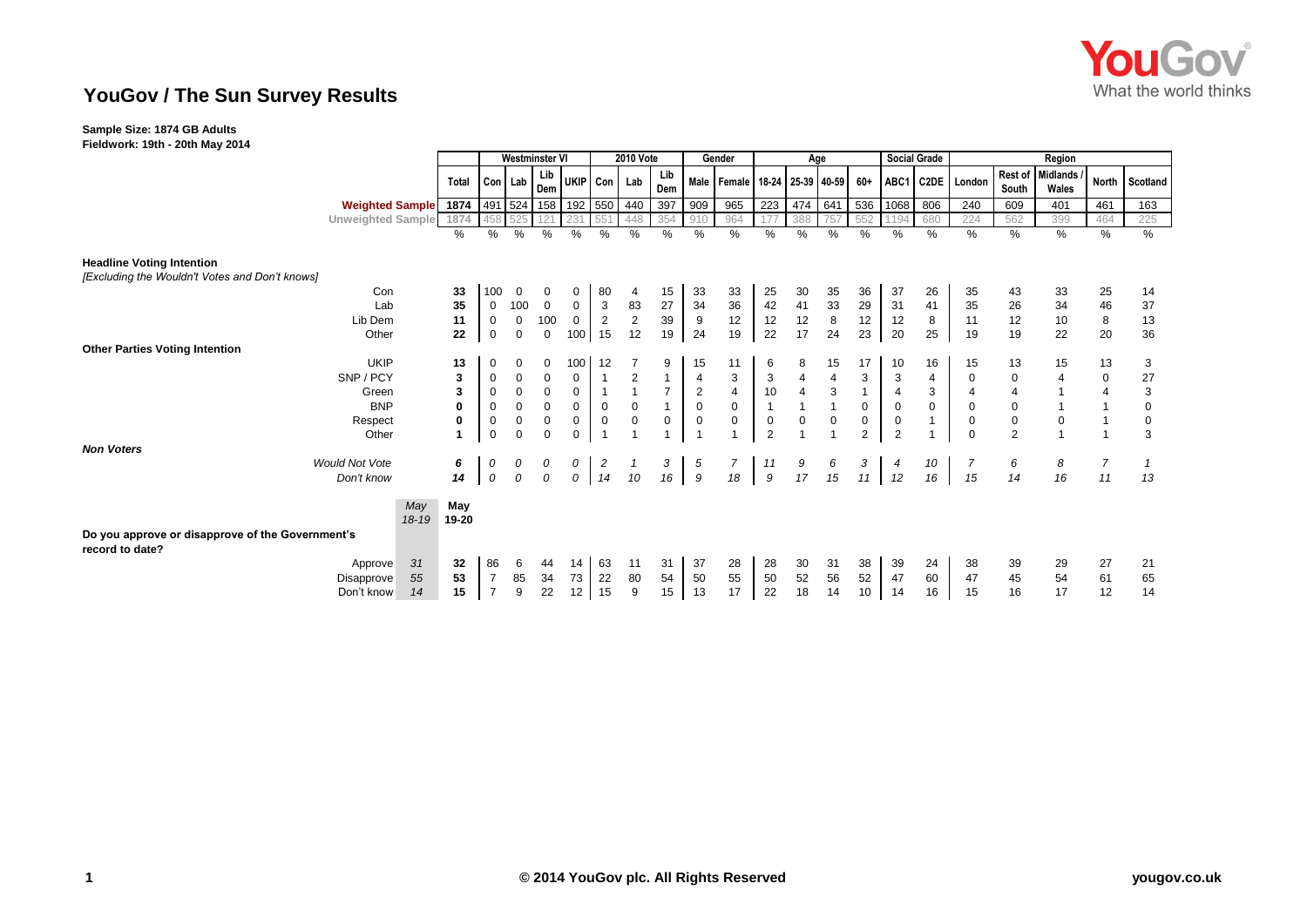

## **YouGov / The Sun Survey Results**

## **Sample Size: 1874 GB Adults**

**Fieldwork: 19th - 20th May 2014**

|                                                                                    |                        |                  | <b>Westminster VI</b> |                |             | <b>2010 Vote</b> |                     |                         | Gender                  |                | Age            |                                       |                |                |     | Social Grade   | Region         |                |                  |                  |                          |                |                |
|------------------------------------------------------------------------------------|------------------------|------------------|-----------------------|----------------|-------------|------------------|---------------------|-------------------------|-------------------------|----------------|----------------|---------------------------------------|----------------|----------------|-----|----------------|----------------|----------------|------------------|------------------|--------------------------|----------------|----------------|
|                                                                                    |                        |                  | <b>Total</b>          | Con Lab        |             | Lib<br>Dem       | UKIP Con            |                         | Lab                     | Lib<br>Dem     |                | Male   Female   18-24   25-39   40-59 |                |                |     | 60+            |                |                | ABC1 C2DE London | Rest of<br>South | <b>Midlands</b><br>Wales | <b>North</b>   | Scotland       |
|                                                                                    | <b>Weighted Sample</b> |                  | 1874                  |                |             |                  | 491 524 158 192 550 |                         | 440                     | 397            | 909            | 965                                   | 223            | 474            | 641 | 536            | 1068           | 806            | 240              | 609              | 401                      | 461            | 163            |
|                                                                                    | Unweighted Sample 1874 |                  |                       | 458            | 525         |                  |                     | 551                     | 448                     | 354            | 910            | 964                                   |                | 388            |     | 552            | 1194           | 680            | 224              | 562              | 399                      | 464            | 225            |
|                                                                                    |                        |                  | %                     | %              | %           | $\%$             | %                   | %                       | %                       | $\frac{0}{0}$  | %              | %                                     | $\%$           | %              | %   | %              | %              | %              | $\frac{0}{0}$    | $\%$             | $\frac{1}{6}$            | %              | %              |
| <b>Headline Voting Intention</b><br>[Excluding the Wouldn't Votes and Don't knows] |                        |                  |                       |                |             |                  |                     |                         |                         |                |                |                                       |                |                |     |                |                |                |                  |                  |                          |                |                |
|                                                                                    | Con                    |                  | 33                    | 100            | $\mathbf 0$ | 0                | 0                   | 80                      | 4                       | 15             | 33             | 33                                    | 25             | 30             | 35  | 36             | 37             | 26             | 35               | 43               | 33                       | 25             | 14             |
|                                                                                    | Lab                    |                  | 35                    | $\mathbf 0$    | 100         | $\mathbf 0$      | $\mathbf 0$         | $\mathbf{3}$            | 83                      | 27             | 34             | 36                                    | 42             | 41             | 33  | 29             | 31             | 41             | 35               | 26               | 34                       | 46             | 37             |
|                                                                                    | Lib Dem                |                  | 11                    | $\mathbf 0$    | $\mathbf 0$ | 100              | $\mathbf 0$         | 2                       | 2                       | 39             | 9              | 12                                    | 12             | 12             | 8   | 12             | 12             | 8              | 11               | 12               | 10                       | 8              | 13             |
|                                                                                    | Other                  |                  | 22                    | 0              | $\mathbf 0$ | 0                | 100                 | 15                      | 12                      | 19             | 24             | 19                                    | 22             | 17             | 24  | 23             | 20             | 25             | 19               | 19               | 22                       | 20             | 36             |
| <b>Other Parties Voting Intention</b>                                              |                        |                  |                       |                |             |                  |                     |                         |                         |                |                |                                       |                |                |     |                |                |                |                  |                  |                          |                |                |
|                                                                                    | <b>UKIP</b>            |                  | 13                    | 0              | $\Omega$    | 0                | 100                 | 12                      |                         | 9              | 15             | 11                                    | 6              | 8              | 15  | 17             | 10             | 16             | 15               | 13               | 15                       | 13             | 3              |
|                                                                                    | SNP / PCY              |                  | 3                     | 0              | 0           | 0                | 0                   | $\mathbf 1$             | $\overline{\mathbf{c}}$ |                | $\overline{4}$ | $\ensuremath{\mathsf{3}}$             | 3              | 4              | 4   | 3              | 3              | $\overline{4}$ | 0                | $\pmb{0}$        | $\overline{4}$           | $\pmb{0}$      | $\frac{27}{3}$ |
|                                                                                    | Green                  |                  | 3                     | $\mathbf 0$    | $\mathbf 0$ | $\mathbf 0$      | $\mathbf 0$         | $\overline{1}$          | $\overline{1}$          | $\overline{7}$ | $\overline{2}$ | $\overline{4}$                        | 10             | $\overline{4}$ | 3   |                | $\overline{4}$ | $\mathbf{3}$   | $\overline{4}$   | $\overline{4}$   |                          | $\overline{4}$ |                |
|                                                                                    | <b>BNP</b>             |                  | $\mathbf 0$           | 0              | 0           | $\mathbf 0$      | $\mathbf 0$         | $\mathbf 0$             | $\mathbf 0$             | $\overline{1}$ | $\mathbf 0$    | $\mathbf 0$                           | $\overline{1}$ |                |     | $\mathbf 0$    | $\mathbf 0$    | $\mathbf 0$    | 0                | $\pmb{0}$        |                          |                | $\pmb{0}$      |
|                                                                                    | Respect                |                  | 0                     | 0              | 0           | $\mathsf 0$      | 0                   | $\mathbf 0$             | 0                       | 0              | $\mathbf 0$    | $\mathbf 0$                           | 0              | 0              | 0   | 0              | $\mathbf 0$    |                | $\mathbf 0$      | $\mathbf 0$      | $\pmb{0}$                |                | $\mathbf 0$    |
|                                                                                    | Other                  |                  |                       | $\mathbf 0$    | $\Omega$    | $\mathbf 0$      | 0                   | $\overline{1}$          | $\overline{1}$          |                |                |                                       | $\overline{2}$ |                |     | $\overline{2}$ | $\overline{2}$ |                | $\Omega$         | $\overline{2}$   |                          | $\overline{1}$ | 3              |
| <b>Non Voters</b>                                                                  |                        |                  |                       |                |             |                  |                     |                         |                         |                |                |                                       |                |                |     |                |                |                |                  |                  |                          |                |                |
|                                                                                    | <b>Would Not Vote</b>  |                  | 6                     | 0              | 0           | 0                | 0                   | $\overline{\mathbf{c}}$ | $\mathbf{1}$            | 3              | 5              | $\overline{7}$                        | 11             | 9              | 6   | 3              | $\overline{4}$ | 10             | 7                | 6                | 8                        | 7              | $\mathcal I$   |
|                                                                                    | Don't know             |                  | 14                    | 0              | 0           | $\mathcal{O}$    | 0                   | 14                      | 10                      | 16             | 9              | 18                                    | 9              | 17             | 15  | 11             | 12             | 16             | 15               | 14               | 16                       | 11             | 13             |
|                                                                                    |                        | May<br>$18 - 19$ | May<br>19-20          |                |             |                  |                     |                         |                         |                |                |                                       |                |                |     |                |                |                |                  |                  |                          |                |                |
| Do you approve or disapprove of the Government's<br>record to date?                |                        |                  |                       |                |             |                  |                     |                         |                         |                |                |                                       |                |                |     |                |                |                |                  |                  |                          |                |                |
|                                                                                    | Approve                | 31               | 32                    | 86             | 6           | 44               | 14                  | 63                      | 11                      | 31             | 37             | 28                                    | 28             | 30             | 31  | 38             | 39             | 24             | 38               | 39               | 29                       | 27             | 21             |
|                                                                                    | Disapprove             | 55               | 53                    | $\overline{7}$ | 85          | 34               | 73                  | 22                      | 80                      | 54             | 50             | 55                                    | 50             | 52             | 56  | 52             | 47             | 60             | 47               | 45               | 54                       | 61             | 65             |
|                                                                                    | Don't know             | 14               | 15                    | $\overline{7}$ | 9           | 22               | 12                  | 15                      | 9                       | 15             | 13             | 17                                    | 22             | 18             | 14  | 10             | 14             | 16             | 15               | 16               | 17                       | 12             | 14             |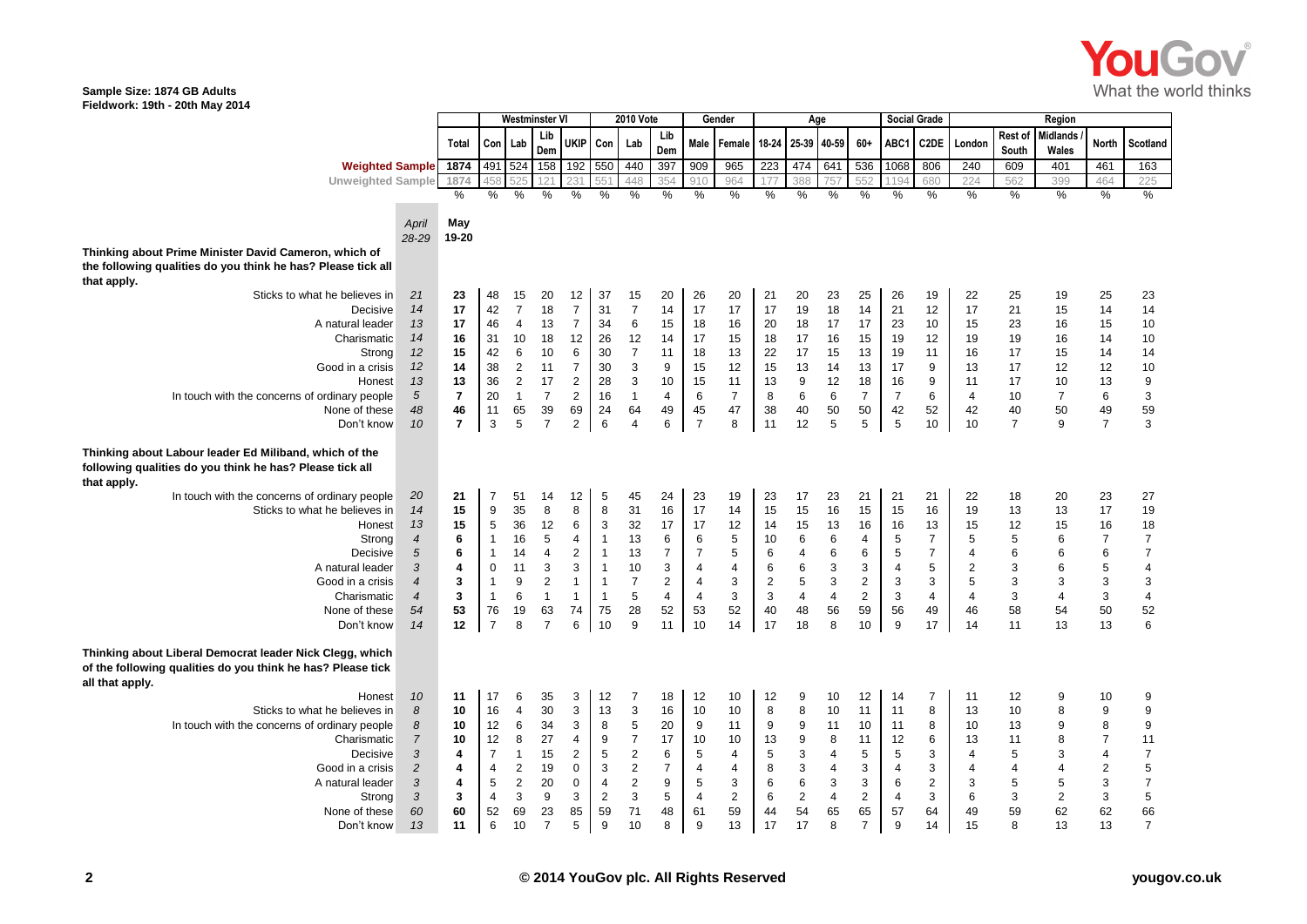

## **Sample Size: 1874 GB Adults Fieldwork: 19th - 20th May 2014**

|                                                                                                                                            |                  |                 |                | <b>Westminster V</b> |                         |                | <b>2010 Vote</b> |                |                  | Gender         |                           |                  |                         | Age            |                |                | <b>Social Grade</b> |                  |                  |                          |                |                                       |
|--------------------------------------------------------------------------------------------------------------------------------------------|------------------|-----------------|----------------|----------------------|-------------------------|----------------|------------------|----------------|------------------|----------------|---------------------------|------------------|-------------------------|----------------|----------------|----------------|---------------------|------------------|------------------|--------------------------|----------------|---------------------------------------|
|                                                                                                                                            |                  | Total           | Con            | Lab                  | Lib<br>Dem              | <b>UKIP</b>    | Con              | Lab            | Lib<br>Dem       | Male           | l Female                  | $18 - 24$        | 25-39 40-59             |                | $60+$          | ABC1           | C2DE                | London           | Rest of<br>South | <b>Midlands</b><br>Wales | <b>North</b>   | Scotland                              |
| Weighted Sample 1874                                                                                                                       |                  |                 | 491            | 524                  | 158                     | 192            | 550              | 440            | 397              | 909            | 965                       | 223              | 474                     | 641            | 536            | 1068           | 806                 | 240              | 609              | 401                      | 461            | 163                                   |
| <b>Unweighted Sample</b>                                                                                                                   |                  | 1874            | 45             | 525                  | 121                     | 231            | 551              | 448            | 354              | 910            | 964                       | 177              | 388                     | 757            | 552            | 1194           | 680                 | 224              | 562              | 399                      | 464            | 225                                   |
|                                                                                                                                            |                  | $\frac{0}{0}$   | $\frac{0}{0}$  | %                    | $\frac{0}{0}$           | $\frac{0}{0}$  | $\frac{0}{0}$    | $\frac{0}{0}$  | %                | $\frac{0}{0}$  | %                         | $\frac{0}{0}$    | $\frac{0}{0}$           | $\frac{0}{0}$  | $\frac{0}{0}$  | %              | %                   | $\frac{0}{0}$    | %                | $\frac{0}{0}$            | $\%$           | $\frac{0}{2}$                         |
|                                                                                                                                            |                  |                 |                |                      |                         |                |                  |                |                  |                |                           |                  |                         |                |                |                |                     |                  |                  |                          |                |                                       |
|                                                                                                                                            | April            | May             |                |                      |                         |                |                  |                |                  |                |                           |                  |                         |                |                |                |                     |                  |                  |                          |                |                                       |
|                                                                                                                                            | 28-29            | 19-20           |                |                      |                         |                |                  |                |                  |                |                           |                  |                         |                |                |                |                     |                  |                  |                          |                |                                       |
| Thinking about Prime Minister David Cameron, which of                                                                                      |                  |                 |                |                      |                         |                |                  |                |                  |                |                           |                  |                         |                |                |                |                     |                  |                  |                          |                |                                       |
| the following qualities do you think he has? Please tick all                                                                               |                  |                 |                |                      |                         |                |                  |                |                  |                |                           |                  |                         |                |                |                |                     |                  |                  |                          |                |                                       |
| that apply.                                                                                                                                |                  |                 |                |                      |                         |                |                  |                |                  |                |                           |                  |                         |                |                |                |                     |                  |                  |                          |                |                                       |
| Sticks to what he believes in                                                                                                              | 21               | 23              | 48             | 15                   | 20                      | 12             | 37               | 15             | 20               | 26             | 20                        | 21               | 20                      | 23             | 25             | 26             | 19                  | 22               | 25               | 19                       | 25             | 23                                    |
| Decisive                                                                                                                                   | 14               | 17              | 42             | $\overline{7}$       | 18                      | $\overline{7}$ | 31               | $\overline{7}$ | 14               | 17             | 17                        | 17               | 19                      | 18             | 14             | 21             | 12                  | 17               | 21               | 15                       | 14             | 14                                    |
| A natural leader                                                                                                                           | 13               | 17              | 46             | $\overline{4}$       | 13                      | $\overline{7}$ | 34               | 6              | 15               | 18             | 16                        | 20               | 18                      | 17             | 17             | 23             | 10                  | 15               | 23               | 16                       | 15             | 10                                    |
| Charismatic                                                                                                                                | 14               | 16              | 31             | 10                   | 18                      | 12             | 26               | 12             | 14               | 17             | 15                        | 18               | 17                      | 16             | 15             | 19             | 12                  | 19               | 19               | 16                       | 14             | 10                                    |
| Strong                                                                                                                                     | 12               | 15              | 42             | 6                    | 10                      | $\,6\,$        | 30               | $\overline{7}$ | 11               | 18             | 13                        | 22               | 17                      | 15             | 13             | 19             | 11                  | 16               | 17               | 15                       | 14             | 14                                    |
| Good in a crisis                                                                                                                           | 12               | 14              | 38             | 2                    | 11                      | $\overline{7}$ | 30               | 3              | 9                | 15             | 12                        | 15               | 13                      | 14             | 13             | 17             | 9                   | 13               | 17               | 12                       | 12             | 10                                    |
| Honest                                                                                                                                     | 13               | 13              | 36             | $\overline{2}$       | 17                      | 2              | 28               | 3              | 10               | 15             | 11                        | 13               | 9                       | 12             | 18             | 16             | $\boldsymbol{9}$    | 11               | 17               | 10                       | 13             | $\boldsymbol{9}$                      |
| In touch with the concerns of ordinary people                                                                                              | $\sqrt{5}$       | $\overline{7}$  | 20             | $\overline{1}$       | $\overline{7}$          | 2              | 16               | $\mathbf{1}$   | 4                | 6              | $\overline{7}$            | 8                | 6                       | 6              | $\overline{7}$ | $\overline{7}$ | $\,6$               | 4                | 10               | $\overline{7}$           | 6              | $\ensuremath{\mathsf{3}}$             |
| None of these                                                                                                                              | 48               | 46              | 11             | 65                   | 39                      | 69             | 24               | 64             | 49               | 45             | 47                        | 38               | 40                      | 50             | 50             | 42             | 52                  | 42               | 40               | 50                       | 49             | 59                                    |
| Don't know                                                                                                                                 | 10               | $\overline{7}$  | 3              | 5                    | $\overline{7}$          | $\overline{2}$ | $6\phantom{1}6$  | $\overline{4}$ | 6                | $\overline{7}$ | 8                         | 11               | 12                      | 5              | 5              | 5              | 10                  | 10               | $\overline{7}$   | 9                        | $\overline{7}$ | $\mathbf{3}$                          |
| Thinking about Labour leader Ed Miliband, which of the<br>following qualities do you think he has? Please tick all<br>that apply.          |                  |                 |                |                      |                         |                |                  |                |                  |                |                           |                  |                         |                |                |                |                     |                  |                  |                          |                |                                       |
| In touch with the concerns of ordinary people                                                                                              | 20               | 21              | $\overline{7}$ | 51                   | 14                      | 12             | 5                | 45             | 24               | 23             | 19                        | 23               | 17                      | 23             | 21             | 21             | 21                  | 22               | 18               | 20                       | 23             | 27                                    |
| Sticks to what he believes in                                                                                                              | 14               | 15              | 9              | 35                   | 8                       | 8              | 8                | 31             | 16               | 17             | 14                        | 15               | 15                      | 16             | 15             | 15             | 16                  | 19               | 13               | 13                       | 17             | 19                                    |
| Honest                                                                                                                                     | 13               | 15              | 5              | 36                   | 12                      | 6              | 3                | 32             | 17               | 17             | 12                        | 14               | 15                      | 13             | 16             | 16             | 13                  | 15               | 12               | 15                       | 16             | 18                                    |
| Strong                                                                                                                                     | $\overline{4}$   | 6               | $\mathbf{1}$   | 16                   | $\sqrt{5}$              | 4              | $\mathbf{1}$     | 13             | 6                | 6              | 5                         | 10               | 6                       | 6              | 4              | 5              | $\overline{7}$      | 5                | 5                | 6                        | $\overline{7}$ | $\boldsymbol{7}$                      |
| Decisive                                                                                                                                   | 5                | $6\phantom{1}6$ | $\mathbf{1}$   | 14                   | $\overline{\mathbf{4}}$ | $\overline{2}$ | $\mathbf{1}$     | 13             | $\boldsymbol{7}$ | $\overline{7}$ | 5                         | 6                | $\overline{\mathbf{4}}$ | $\,6$          | 6              | 5              | $\overline{7}$      | 4                | 6                | 6                        | $\,6$          | $\boldsymbol{7}$                      |
| A natural leader                                                                                                                           | 3                | 4               | 0              | 11                   | $\mathbf{3}$            | 3              | $\overline{1}$   | 10             | 3                | $\overline{4}$ | $\overline{\mathbf{4}}$   | 6                | $\,6\,$                 | 3              | 3              | 4              | $\overline{5}$      | $\boldsymbol{2}$ | 3                | 6                        | $\sqrt{5}$     | $\overline{\mathbf{4}}$               |
| Good in a crisis                                                                                                                           | $\boldsymbol{4}$ | 3               | $\mathbf{1}$   | $9\,$                | $\overline{2}$          | $\mathbf{1}$   | $\mathbf{1}$     | $\overline{7}$ | $\overline{2}$   | $\overline{4}$ | $\mathsf 3$               | $\overline{2}$   | $\sqrt{5}$              | $\mathbf{3}$   | $\overline{2}$ | 3              | 3                   | $\mathbf 5$      | 3                | 3                        | 3              |                                       |
| Charismatic                                                                                                                                | $\overline{4}$   | 3               | $\mathbf{1}$   | 6                    | $\overline{1}$          | $\mathbf{1}$   | $\mathbf{1}$     | 5              | $\overline{4}$   | $\overline{4}$ | $\ensuremath{\mathsf{3}}$ | $\mathbf{3}$     | $\overline{4}$          | $\overline{4}$ | $\overline{2}$ | 3              | $\overline{4}$      | $\overline{4}$   | 3                | $\overline{\mathbf{4}}$  | $\sqrt{3}$     | $\begin{array}{c} 3 \\ 4 \end{array}$ |
| None of these                                                                                                                              | 54               | 53              | 76             | 19                   | 63                      | 74             | 75               | 28             | 52               | 53             | 52                        | 40               | 48                      | 56             | 59             | 56             | 49                  | 46               | 58               | 54                       | 50             | 52                                    |
| Don't know                                                                                                                                 | 14               | 12              | $\overline{7}$ | 8                    | $\overline{7}$          | 6              | 10               | 9              | 11               | 10             | 14                        | 17               | 18                      | 8              | 10             | 9              | 17                  | 14               | 11               | 13                       | 13             | 6                                     |
| Thinking about Liberal Democrat leader Nick Clegg, which<br>of the following qualities do you think he has? Please tick<br>all that apply. |                  |                 |                |                      |                         |                |                  |                |                  |                |                           |                  |                         |                |                |                |                     |                  |                  |                          |                |                                       |
| Honest                                                                                                                                     | 10               | 11              | 17             | 6                    | 35                      | 3              | 12               | $\overline{7}$ | 18               | 12             | 10                        | 12               | 9                       | 10             | 12             | 14             | $\overline{7}$      | 11               | 12               | 9                        | 10             | 9                                     |
| Sticks to what he believes in                                                                                                              | 8                | 10              | 16             | $\overline{a}$       | 30                      | 3              | 13               | 3              | 16               | 10             | 10                        | 8                | 8                       | 10             | 11             | 11             | 8                   | 13               | 10               | 8                        | 9              | $\boldsymbol{9}$                      |
| In touch with the concerns of ordinary people                                                                                              | 8                | 10              | 12             | $\,6\,$              | 34                      | 3              | $\bf 8$          | $\mathbf 5$    | 20               | 9              | 11                        | $\boldsymbol{9}$ | $\boldsymbol{9}$        | 11             | 10             | 11             | 8                   | 10               | 13               | 9                        | 8              | 9                                     |
| Charismatic                                                                                                                                | $\overline{7}$   | 10              | 12             | 8                    | 27                      | 4              | 9                | $\overline{7}$ | 17               | 10             | 10                        | 13               | 9                       | 8              | 11             | 12             | $\,6$               | 13               | 11               | 8                        | $\overline{7}$ | 11                                    |
| Decisive                                                                                                                                   | 3                | 4               | $\overline{7}$ | $\mathbf{1}$         | 15                      | 2              | 5                | $\sqrt{2}$     | 6                | 5              | 4                         | $\sqrt{5}$       | $\mathbf{3}$            | 4              | 5              | 5              | 3                   | 4                | 5                | 3                        | 4              |                                       |
| Good in a crisis                                                                                                                           | $\sqrt{2}$       | $\overline{4}$  | 4              | $\sqrt{2}$           | 19                      | $\mathbf 0$    | 3                | $\overline{2}$ | $\overline{7}$   | $\overline{4}$ | $\overline{\mathbf{4}}$   | 8                | $\mathsf 3$             | $\overline{4}$ | 3              | 4              | $\mathbf{3}$        | 4                | $\overline{4}$   | $\overline{\mathbf{4}}$  | $\sqrt{2}$     | $\begin{array}{c} 7 \\ 5 \end{array}$ |
| A natural leader                                                                                                                           | 3                | $\overline{4}$  | 5              | 2                    | 20                      | $\mathbf 0$    | $\overline{4}$   | $\overline{2}$ | 9                | 5              | $\mathsf 3$               | $6\phantom{1}$   | $\,6\,$                 | 3              | 3              | 6              | $\sqrt{2}$          | 3                | 5                | 5                        | 3              | $\overline{7}$                        |
| Strong                                                                                                                                     | 3                | 3               | 4              | 3                    | 9                       | 3              | $\overline{2}$   | 3              | 5                | $\overline{4}$ | $\overline{2}$            | 6                | $\sqrt{2}$              | 4              | 2              | 4              | 3                   | 6                | 3                | $\sqrt{2}$               | 3              | $\,$ 5 $\,$                           |
| None of these                                                                                                                              | 60               | 60              | 52             | 69                   | 23                      | 85             | 59               | 71             | 48               | 61             | 59                        | 44               | 54                      | 65             | 65             | 57             | 64                  | 49               | 59               | 62                       | 62             | 66                                    |
| Don't know                                                                                                                                 | 13               | 11              | 6              | 10                   | $\overline{7}$          | 5              | 9                | 10             | 8                | 9              | 13                        | 17               | 17                      | 8              | $\overline{7}$ | 9              | 14                  | 15               | $\mathsf{R}$     | 13                       | 13             | $\overline{7}$                        |